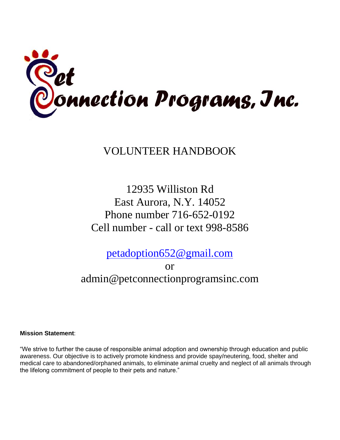

VOLUNTEER HANDBOOK

12935 Williston Rd East Aurora, N.Y. 14052 Phone number 716-652-0192 Cell number - call or text 998-8586

[petadoption652@gmail.com](mailto:Petadoption652@gmail.com)

or admin@petconnectionprogramsinc.com

**Mission Statement**:

"We strive to further the cause of responsible animal adoption and ownership through education and public awareness. Our objective is to actively promote kindness and provide spay/neutering, food, shelter and medical care to abandoned/orphaned animals, to eliminate animal cruelty and neglect of all animals through the lifelong commitment of people to their pets and nature."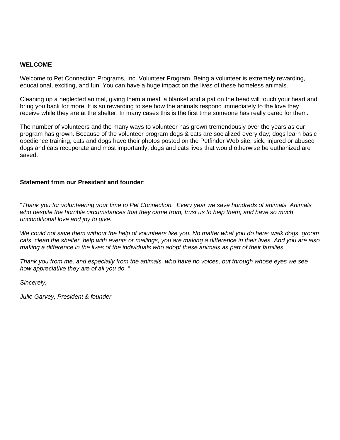#### **WELCOME**

Welcome to Pet Connection Programs, Inc. Volunteer Program. Being a volunteer is extremely rewarding, educational, exciting, and fun. You can have a huge impact on the lives of these homeless animals.

Cleaning up a neglected animal, giving them a meal, a blanket and a pat on the head will touch your heart and bring you back for more. It is so rewarding to see how the animals respond immediately to the love they receive while they are at the shelter. In many cases this is the first time someone has really cared for them.

The number of volunteers and the many ways to volunteer has grown tremendously over the years as our program has grown. Because of the volunteer program dogs & cats are socialized every day; dogs learn basic obedience training; cats and dogs have their photos posted on the Petfinder Web site; sick, injured or abused dogs and cats recuperate and most importantly, dogs and cats lives that would otherwise be euthanized are saved.

#### **Statement from our President and founder**:

"*Thank you for volunteering your time to Pet Connection. Every year we save hundreds of animals. Animals who despite the horrible circumstances that they came from, trust us to help them, and have so much unconditional love and joy to give.* 

*We could not save them without the help of volunteers like you. No matter what you do here: walk dogs, groom cats, clean the shelter, help with events or mailings, you are making a difference in their lives. And you are also making a difference in the lives of the individuals who adopt these animals as part of their families.* 

*Thank you from me, and especially from the animals, who have no voices, but through whose eyes we see how appreciative they are of all you do. "*

*Sincerely,* 

*Julie Garvey, President & founder*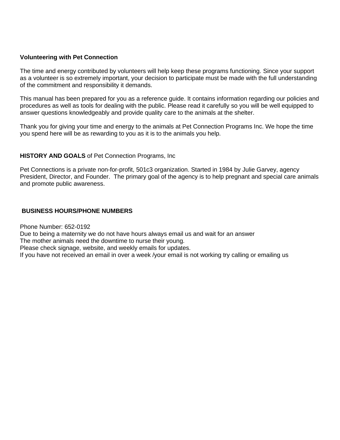#### **Volunteering with Pet Connection**

The time and energy contributed by volunteers will help keep these programs functioning. Since your support as a volunteer is so extremely important, your decision to participate must be made with the full understanding of the commitment and responsibility it demands.

This manual has been prepared for you as a reference guide. It contains information regarding our policies and procedures as well as tools for dealing with the public. Please read it carefully so you will be well equipped to answer questions knowledgeably and provide quality care to the animals at the shelter.

Thank you for giving your time and energy to the animals at Pet Connection Programs Inc. We hope the time you spend here will be as rewarding to you as it is to the animals you help.

#### **HISTORY AND GOALS** of Pet Connection Programs, Inc

Pet Connections is a private non-for-profit, 501c3 organization. Started in 1984 by Julie Garvey, agency President, Director, and Founder. The primary goal of the agency is to help pregnant and special care animals and promote public awareness.

#### **BUSINESS HOURS/PHONE NUMBERS**

Phone Number: 652-0192 Due to being a maternity we do not have hours always email us and wait for an answer The mother animals need the downtime to nurse their young. Please check signage, website, and weekly emails for updates. If you have not received an email in over a week /your email is not working try calling or emailing us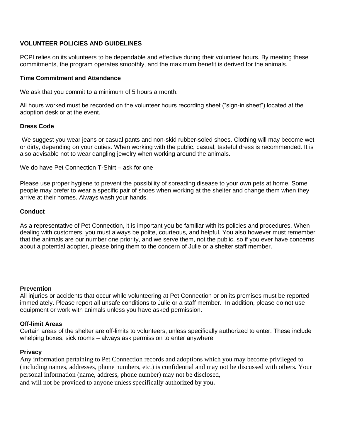## **VOLUNTEER POLICIES AND GUIDELINES**

PCPI relies on its volunteers to be dependable and effective during their volunteer hours. By meeting these commitments, the program operates smoothly, and the maximum benefit is derived for the animals.

#### **Time Commitment and Attendance**

We ask that you commit to a minimum of 5 hours a month.

All hours worked must be recorded on the volunteer hours recording sheet ("sign-in sheet") located at the adoption desk or at the event.

#### **Dress Code**

We suggest you wear jeans or casual pants and non-skid rubber-soled shoes. Clothing will may become wet or dirty, depending on your duties. When working with the public, casual, tasteful dress is recommended. It is also advisable not to wear dangling jewelry when working around the animals.

We do have Pet Connection T-Shirt – ask for one

Please use proper hygiene to prevent the possibility of spreading disease to your own pets at home. Some people may prefer to wear a specific pair of shoes when working at the shelter and change them when they arrive at their homes. Always wash your hands.

#### **Conduct**

As a representative of Pet Connection, it is important you be familiar with its policies and procedures. When dealing with customers, you must always be polite, courteous, and helpful. You also however must remember that the animals are our number one priority, and we serve them, not the public, so if you ever have concerns about a potential adopter, please bring them to the concern of Julie or a shelter staff member.

#### **Prevention**

All injuries or accidents that occur while volunteering at Pet Connection or on its premises must be reported immediately. Please report all unsafe conditions to Julie or a staff member. In addition, please do not use equipment or work with animals unless you have asked permission.

## **Off-limit Areas**

Certain areas of the shelter are off-limits to volunteers, unless specifically authorized to enter. These include whelping boxes, sick rooms – always ask permission to enter anywhere

## **Privacy**

Any information pertaining to Pet Connection records and adoptions which you may become privileged to (including names, addresses, phone numbers, etc.) is confidential and may not be discussed with others**.** Your personal information (name, address, phone number) may not be disclosed, and will not be provided to anyone unless specifically authorized by you**.**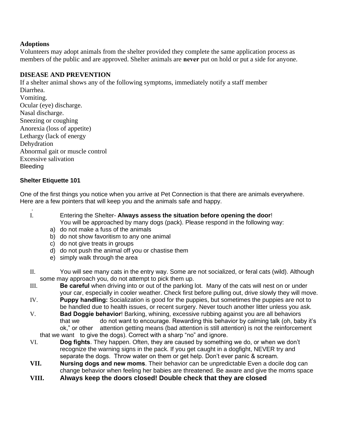## **Adoptions**

Volunteers may adopt animals from the shelter provided they complete the same application process as members of the public and are approved. Shelter animals are **never** put on hold or put a side for anyone.

# **DISEASE AND PREVENTION**

If a shelter animal shows any of the following symptoms, immediately notify a staff member Diarrhea. Vomiting. Ocular (eye) discharge. Nasal discharge. Sneezing or coughing Anorexia (loss of appetite) Lethargy (lack of energy Dehydration Abnormal gait or muscle control Excessive salivation Bleeding

# **Shelter Etiquette 101**

One of the first things you notice when you arrive at Pet Connection is that there are animals everywhere. Here are a few pointers that will keep you and the animals safe and happy.

- . I. Entering the Shelter- **Always assess the situation before opening the door**! You will be approached by many dogs (pack). Please respond in the following way:
	- a) do not make a fuss of the animals
	- b) do not show favoritism to any one animal
	- c) do not give treats in groups
	- d) do not push the animal off you or chastise them
	- e) simply walk through the area
- II. You will see many cats in the entry way. Some are not socialized, or feral cats (wild). Although some may approach you, do not attempt to pick them up.
- III. **Be careful** when driving into or out of the parking lot. Many of the cats will nest on or under your car, especially in cooler weather. Check first before pulling out, drive slowly they will move.
- IV. **Puppy handling:** Socialization is good for the puppies, but sometimes the puppies are not to be handled due to health issues, or recent surgery. Never touch another litter unless you ask.
- V. **Bad Doggie behavior**! Barking, whining, excessive rubbing against you are all behaviors that we do not want to encourage. Rewarding this behavior by calming talk (oh, baby it's ok," or other attention getting means (bad attention is still attention) is not the reinforcement

that we want to give the dogs). Correct with a sharp "no" and ignore.

- VI. **Dog fights**. They happen. Often, they are caused by something we do, or when we don't recognize the warning signs in the pack. If you get caught in a dogfight, NEVER try and separate the dogs. Throw water on them or get help. Don't ever panic & scream.
- **VII. Nursing dogs and new moms**. Their behavior can be unpredictable Even a docile dog can change behavior when feeling her babies are threatened. Be aware and give the moms space
- **VIII. Always keep the doors closed! Double check that they are closed**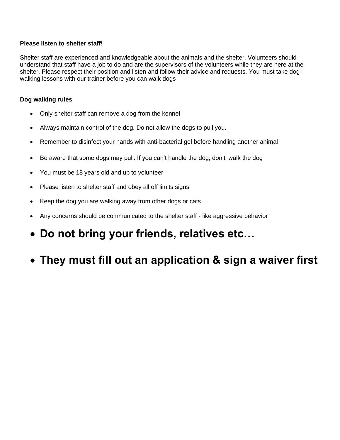## **Please listen to shelter staff!**

Shelter staff are experienced and knowledgeable about the animals and the shelter. Volunteers should understand that staff have a job to do and are the supervisors of the volunteers while they are here at the shelter. Please respect their position and listen and follow their advice and requests. You must take dogwalking lessons with our trainer before you can walk dogs

## **Dog walking rules**

- Only shelter staff can remove a dog from the kennel
- Always maintain control of the dog. Do not allow the dogs to pull you.
- Remember to disinfect your hands with anti-bacterial gel before handling another animal
- Be aware that some dogs may pull. If you can't handle the dog, don't' walk the dog
- You must be 18 years old and up to volunteer
- Please listen to shelter staff and obey all off limits signs
- Keep the dog you are walking away from other dogs or cats
- Any concerns should be communicated to the shelter staff like aggressive behavior
- **Do not bring your friends, relatives etc…**
- **They must fill out an application & sign a waiver first**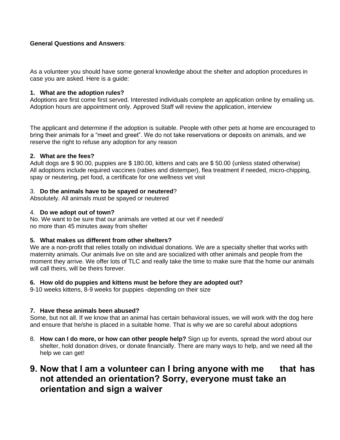## **General Questions and Answers**:

As a volunteer you should have some general knowledge about the shelter and adoption procedures in case you are asked. Here is a guide:

#### **1. What are the adoption rules?**

Adoptions are first come first served. Interested individuals complete an application online by emailing us. Adoption hours are appointment only. Approved Staff will review the application, interview

The applicant and determine if the adoption is suitable. People with other pets at home are encouraged to bring their animals for a "meet and greet". We do not take reservations or deposits on animals, and we reserve the right to refuse any adoption for any reason

#### **2. What are the fees?**

Adult dogs are \$ 90.00, puppies are \$ 180.00, kittens and cats are \$ 50.00 (unless stated otherwise) All adoptions include required vaccines (rabies and distemper), flea treatment if needed, micro-chipping, spay or neutering, pet food, a certificate for one wellness vet visit

#### 3. **Do the animals have to be spayed or neutered**?

Absolutely. All animals must be spayed or neutered

#### 4. **Do we adopt out of town?**

No. We want to be sure that our animals are vetted at our vet if needed/ no more than 45 minutes away from shelter

#### **5. What makes us different from other shelters?**

We are a non-profit that relies totally on individual donations. We are a specialty shelter that works with maternity animals. Our animals live on site and are socialized with other animals and people from the moment they arrive. We offer lots of TLC and really take the time to make sure that the home our animals will call theirs, will be theirs forever.

#### **6. How old do puppies and kittens must be before they are adopted out?**

9-10 weeks kittens, 8-9 weeks for puppies -depending on their size

#### **7. Have these animals been abused?**

Some, but not all. If we know that an animal has certain behavioral issues, we will work with the dog here and ensure that he/she is placed in a suitable home. That is why we are so careful about adoptions

8. **How can I do more, or how can other people help?** Sign up for events, spread the word about our shelter, hold donation drives, or donate financially. There are many ways to help, and we need all the help we can get!

# **9. Now that I am a volunteer can I bring anyone with me that has not attended an orientation? Sorry, everyone must take an orientation and sign a waiver**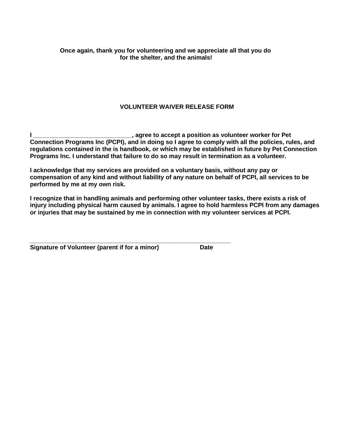# **VOLUNTEER WAIVER RELEASE FORM**

**I LETT**, agree to accept a position as volunteer worker for Pet **Connection Programs Inc (PCPI), and in doing so I agree to comply with all the policies, rules, and regulations contained in the is handbook, or which may be established in future by Pet Connection Programs Inc. I understand that failure to do so may result in termination as a volunteer.**

**I acknowledge that my services are provided on a voluntary basis, without any pay or compensation of any kind and without liability of any nature on behalf of PCPI, all services to be performed by me at my own risk.** 

**I recognize that in handling animals and performing other volunteer tasks, there exists a risk of injury including physical harm caused by animals. I agree to hold harmless PCPI from any damages or injuries that may be sustained by me in connection with my volunteer services at PCPI.** 

| Signature of Volunteer (parent if for a minor) | <b>Date</b> |
|------------------------------------------------|-------------|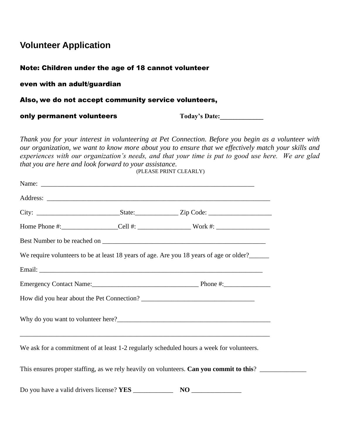# **Volunteer Application**

# Note: Children under the age of 18 cannot volunteer

even with an adult/guardian

# Also, we do not accept community service volunteers,

only permanent volunteers **Today's Date:** 

*Thank you for your interest in volunteering at Pet Connection. Before you begin as a volunteer with our organization, we want to know more about you to ensure that we effectively match your skills and experiences with our organization's needs, and that your time is put to good use here. We are glad that you are here and look forward to your assistance.*  (PLEASE PRINT CLEARLY)

|                                                        | We require volunteers to be at least 18 years of age. Are you 18 years of age or older?_____ |
|--------------------------------------------------------|----------------------------------------------------------------------------------------------|
|                                                        |                                                                                              |
|                                                        |                                                                                              |
|                                                        |                                                                                              |
|                                                        |                                                                                              |
|                                                        | We ask for a commitment of at least 1-2 regularly scheduled hours a week for volunteers.     |
|                                                        | This ensures proper staffing, as we rely heavily on volunteers. Can you commit to this?      |
| Do you have a valid drivers license? YES _____________ |                                                                                              |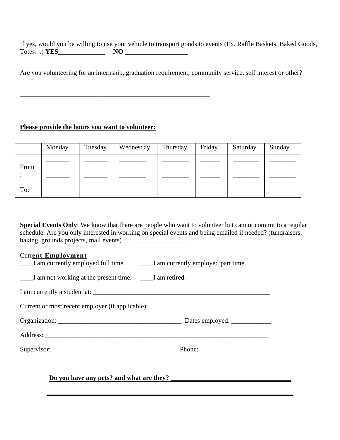If yes, would you be willing to use your vehicle to transport goods to events (Ex. Raffle Baskets, Baked Goods, Totes...) **YES\_\_\_\_\_\_\_\_\_\_\_\_\_\_\_ NO** 

Are you volunteering for an internship, graduation requirement, community service, self interest or other?

## **Please provide the hours you want to volunteer:**

\_\_\_\_\_\_\_\_\_\_\_\_\_\_\_\_\_\_\_\_\_\_\_\_\_\_\_\_\_\_\_\_\_\_\_\_\_\_\_\_\_\_\_\_\_\_\_\_\_\_\_\_\_\_\_\_\_

|      | Monday | Tuesday | Wednesday | Thursday | Friday | Saturday | Sunday |
|------|--------|---------|-----------|----------|--------|----------|--------|
| From |        |         |           |          |        |          |        |
| To:  |        |         |           |          |        |          |        |

**Special Events Only:** We know that there are people who want to volunteer but cannot commit to a regular schedule. Are you only interested in working on special events and being emailed if needed? (fundraisers, baking, grounds projects, mall events) \_\_\_\_\_\_\_\_\_\_\_\_\_\_\_\_\_\_\_\_

**\_\_\_\_\_\_\_\_\_\_\_\_\_\_\_\_\_\_\_\_\_\_\_\_\_\_\_\_\_\_\_\_\_\_\_\_\_\_\_\_\_\_\_\_\_\_\_\_\_\_\_\_\_\_\_\_\_\_\_\_\_\_\_\_\_\_\_\_\_\_\_\_\_\_** 

## Curr**ent Employment**

| I am currently employed full time. | I am currently employed part time. |
|------------------------------------|------------------------------------|
|------------------------------------|------------------------------------|

\_\_\_\_I am not working at the present time. \_\_\_\_I am retired.

I am currently a student at: \_\_\_\_\_\_\_\_\_\_\_\_\_\_\_\_\_\_\_\_\_\_\_\_\_\_\_\_\_\_\_\_\_\_\_\_\_\_\_\_\_\_\_\_\_\_\_\_\_\_\_\_\_

Current or most recent employer (if applicable):

Organization: \_\_\_\_\_\_\_\_\_\_\_\_\_\_\_\_\_\_\_\_\_\_\_\_\_\_\_\_\_\_\_\_\_\_\_\_\_ Dates employed: \_\_\_\_\_\_\_\_\_\_\_\_

Address: \_\_\_\_\_\_\_\_\_\_\_\_\_\_\_\_\_\_\_\_\_\_\_\_\_\_\_\_\_\_\_\_\_\_\_\_\_\_\_\_\_\_\_\_\_\_\_\_\_\_\_\_\_\_\_\_\_\_\_\_\_\_\_\_\_\_\_

Supervisor: The example of  $\blacksquare$  Phone:  $\blacksquare$ 

**Do you have any pets? and what are they?**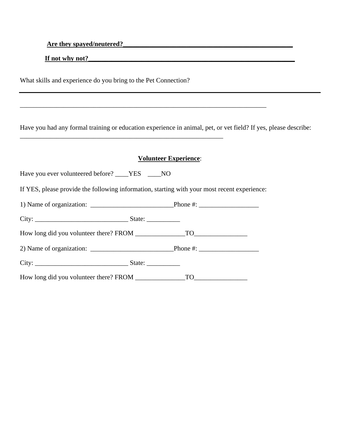**Are they spayed/neutered?** 

**If not why not?** 

What skills and experience do you bring to the Pet Connection?

\_\_\_\_\_\_\_\_\_\_\_\_\_\_\_\_\_\_\_\_\_\_\_\_\_\_\_\_\_\_\_\_\_\_\_\_\_\_\_\_\_\_\_\_\_\_\_\_\_\_\_\_\_\_\_\_\_\_\_\_\_

Have you had any formal training or education experience in animal, pet, or vet field? If yes, please describe:

## **Volunteer Experience**:

Have you ever volunteered before? \_\_\_\_YES \_\_\_\_NO

If YES, please provide the following information, starting with your most recent experience:

\_\_\_\_\_\_\_\_\_\_\_\_\_\_\_\_\_\_\_\_\_\_\_\_\_\_\_\_\_\_\_\_\_\_\_\_\_\_\_\_\_\_\_\_\_\_\_\_\_\_\_\_\_\_\_\_\_\_\_\_\_\_\_\_\_\_\_\_\_\_\_\_\_\_

|  | Phone #: $\frac{1}{2}$ $\frac{1}{2}$ $\frac{1}{2}$ $\frac{1}{2}$ $\frac{1}{2}$ $\frac{1}{2}$ $\frac{1}{2}$ $\frac{1}{2}$ $\frac{1}{2}$ $\frac{1}{2}$ $\frac{1}{2}$ $\frac{1}{2}$ $\frac{1}{2}$ $\frac{1}{2}$ $\frac{1}{2}$ $\frac{1}{2}$ $\frac{1}{2}$ $\frac{1}{2}$ $\frac{1}{2}$ $\frac{1}{2}$ $\frac{1}{2}$ $\$ |
|--|--------------------------------------------------------------------------------------------------------------------------------------------------------------------------------------------------------------------------------------------------------------------------------------------------------------------|
|  |                                                                                                                                                                                                                                                                                                                    |
|  |                                                                                                                                                                                                                                                                                                                    |
|  |                                                                                                                                                                                                                                                                                                                    |
|  |                                                                                                                                                                                                                                                                                                                    |
|  |                                                                                                                                                                                                                                                                                                                    |